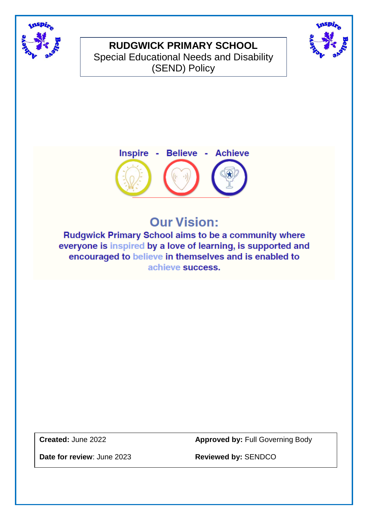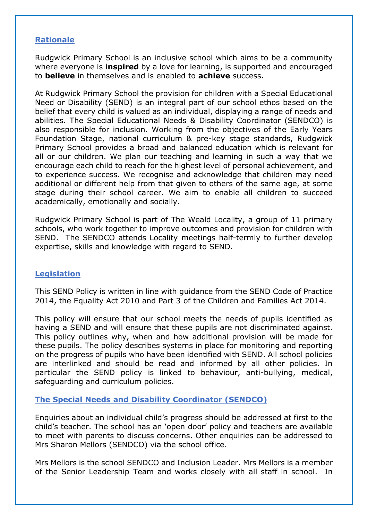### **Rationale**

Rudgwick Primary School is an inclusive school which aims to be a community where everyone is **inspired** by a love for learning, is supported and encouraged to **believe** in themselves and is enabled to **achieve** success.

At Rudgwick Primary School the provision for children with a Special Educational Need or Disability (SEND) is an integral part of our school ethos based on the belief that every child is valued as an individual, displaying a range of needs and abilities. The Special Educational Needs & Disability Coordinator (SENDCO) is also responsible for inclusion. Working from the objectives of the Early Years Foundation Stage, national curriculum & pre-key stage standards, Rudgwick Primary School provides a broad and balanced education which is relevant for all or our children. We plan our teaching and learning in such a way that we encourage each child to reach for the highest level of personal achievement, and to experience success. We recognise and acknowledge that children may need additional or different help from that given to others of the same age, at some stage during their school career. We aim to enable all children to succeed academically, emotionally and socially.

Rudgwick Primary School is part of The Weald Locality, a group of 11 primary schools, who work together to improve outcomes and provision for children with SEND. The SENDCO attends Locality meetings half-termly to further develop expertise, skills and knowledge with regard to SEND.

### **Legislation**

This SEND Policy is written in line with guidance from the SEND Code of Practice 2014, the Equality Act 2010 and Part 3 of the Children and Families Act 2014.

This policy will ensure that our school meets the needs of pupils identified as having a SEND and will ensure that these pupils are not discriminated against. This policy outlines why, when and how additional provision will be made for these pupils. The policy describes systems in place for monitoring and reporting on the progress of pupils who have been identified with SEND. All school policies are interlinked and should be read and informed by all other policies. In particular the SEND policy is linked to behaviour, anti-bullying, medical, safeguarding and curriculum policies.

### **The Special Needs and Disability Coordinator (SENDCO)**

Enquiries about an individual child's progress should be addressed at first to the child's teacher. The school has an 'open door' policy and teachers are available to meet with parents to discuss concerns. Other enquiries can be addressed to Mrs Sharon Mellors (SENDCO) via the school office.

Mrs Mellors is the school SENDCO and Inclusion Leader. Mrs Mellors is a member of the Senior Leadership Team and works closely with all staff in school. In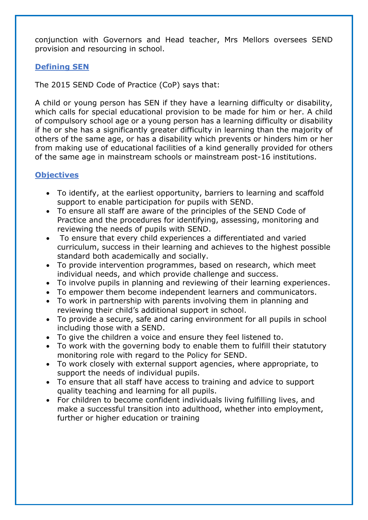conjunction with Governors and Head teacher, Mrs Mellors oversees SEND provision and resourcing in school.

### **Defining SEN**

The 2015 SEND Code of Practice (CoP) says that:

A child or young person has SEN if they have a learning difficulty or disability, which calls for special educational provision to be made for him or her. A child of compulsory school age or a young person has a learning difficulty or disability if he or she has a significantly greater difficulty in learning than the majority of others of the same age, or has a disability which prevents or hinders him or her from making use of educational facilities of a kind generally provided for others of the same age in mainstream schools or mainstream post-16 institutions.

# **Objectives**

- To identify, at the earliest opportunity, barriers to learning and scaffold support to enable participation for pupils with SEND.
- To ensure all staff are aware of the principles of the SEND Code of Practice and the procedures for identifying, assessing, monitoring and reviewing the needs of pupils with SEND.
- To ensure that every child experiences a differentiated and varied curriculum, success in their learning and achieves to the highest possible standard both academically and socially.
- To provide intervention programmes, based on research, which meet individual needs, and which provide challenge and success.
- To involve pupils in planning and reviewing of their learning experiences.
- To empower them become independent learners and communicators.
- To work in partnership with parents involving them in planning and reviewing their child's additional support in school.
- To provide a secure, safe and caring environment for all pupils in school including those with a SEND.
- To give the children a voice and ensure they feel listened to.
- To work with the governing body to enable them to fulfill their statutory monitoring role with regard to the Policy for SEND.
- To work closely with external support agencies, where appropriate, to support the needs of individual pupils.
- To ensure that all staff have access to training and advice to support quality teaching and learning for all pupils.
- For children to become confident individuals living fulfilling lives, and make a successful transition into adulthood, whether into employment, further or higher education or training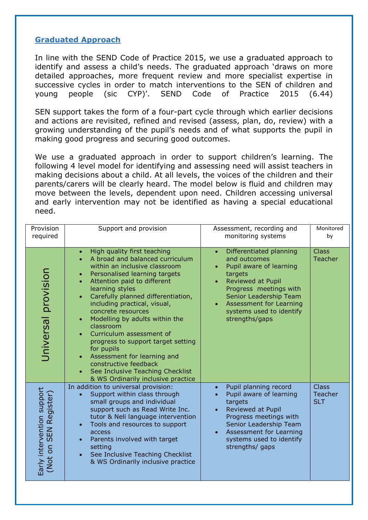### **Graduated Approach**

In line with the SEND Code of Practice 2015, we use a graduated approach to identify and assess a child's needs. The graduated approach 'draws on more detailed approaches, more frequent review and more specialist expertise in successive cycles in order to match interventions to the SEN of children and young people (sic CYP)'. SEND Code of Practice 2015 (6.44)

SEN support takes the form of a four-part cycle through which earlier decisions and actions are revisited, refined and revised (assess, plan, do, review) with a growing understanding of the pupil's needs and of what supports the pupil in making good progress and securing good outcomes.

We use a graduated approach in order to support children's learning. The following 4 level model for identifying and assessing need will assist teachers in making decisions about a child. At all levels, the voices of the children and their parents/carers will be clearly heard. The model below is fluid and children may move between the levels, dependent upon need. Children accessing universal and early intervention may not be identified as having a special educational need.

| Provision<br>required                                           | Support and provision                                                                                                                                                                                                                                                                                                                                                                                                                                                                                                                                                                               | Assessment, recording and<br>monitoring systems                                                                                                                                                                                                     | Monitored<br>by                              |
|-----------------------------------------------------------------|-----------------------------------------------------------------------------------------------------------------------------------------------------------------------------------------------------------------------------------------------------------------------------------------------------------------------------------------------------------------------------------------------------------------------------------------------------------------------------------------------------------------------------------------------------------------------------------------------------|-----------------------------------------------------------------------------------------------------------------------------------------------------------------------------------------------------------------------------------------------------|----------------------------------------------|
| Universal provision                                             | High quality first teaching<br>$\bullet$<br>A broad and balanced curriculum<br>within an inclusive classroom<br>Personalised learning targets<br>$\bullet$<br>Attention paid to different<br>learning styles<br>Carefully planned differentiation,<br>$\bullet$<br>including practical, visual,<br>concrete resources<br>Modelling by adults within the<br>$\bullet$<br>classroom<br>Curriculum assessment of<br>progress to support target setting<br>for pupils<br>Assessment for learning and<br>constructive feedback<br>See Inclusive Teaching Checklist<br>& WS Ordinarily inclusive practice | Differentiated planning<br>$\bullet$<br>and outcomes<br>Pupil aware of learning<br>targets<br><b>Reviewed at Pupil</b><br>Progress meetings with<br>Senior Leadership Team<br>Assessment for Learning<br>systems used to identify<br>strengths/gaps | <b>Class</b><br><b>Teacher</b>               |
| Early intervention support<br><b>SEN Register)</b><br>S<br>(Not | In addition to universal provision:<br>Support within class through<br>$\bullet$<br>small groups and individual<br>support such as Read Write Inc.<br>tutor & Neli language intervention<br>Tools and resources to support<br>$\bullet$<br>access<br>Parents involved with target<br>setting<br>See Inclusive Teaching Checklist<br>& WS Ordinarily inclusive practice                                                                                                                                                                                                                              | Pupil planning record<br>$\bullet$<br>Pupil aware of learning<br>targets<br><b>Reviewed at Pupil</b><br>Progress meetings with<br>Senior Leadership Team<br>Assessment for Learning<br>systems used to identify<br>strengths/ gaps                  | <b>Class</b><br><b>Teacher</b><br><b>SLT</b> |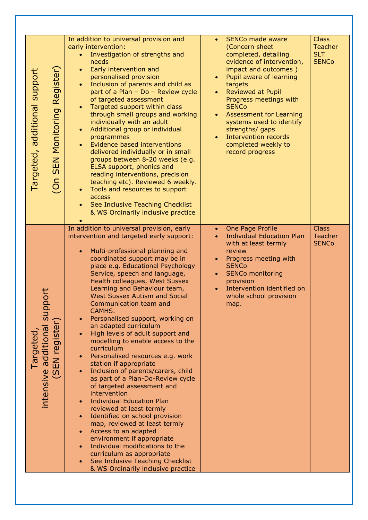| Register)<br>Targeted, additional support<br><b>SEN Monitoring</b><br>$\overline{O}n$           | In addition to universal provision and<br>early intervention:<br>Investigation of strengths and<br>$\bullet$<br>needs<br>Early intervention and<br>$\bullet$<br>personalised provision<br>Inclusion of parents and child as<br>part of a Plan - Do - Review cycle<br>of targeted assessment<br>Targeted support within class<br>through small groups and working<br>individually with an adult<br>Additional group or individual<br>$\bullet$<br>programmes<br>Evidence based interventions<br>$\bullet$<br>delivered individually or in small<br>groups between 8-20 weeks (e.g.<br>ELSA support, phonics and<br>reading interventions, precision<br>teaching etc). Reviewed 6 weekly.<br>Tools and resources to support<br>access<br>See Inclusive Teaching Checklist<br>& WS Ordinarily inclusive practice                                                                                                                                                                                                                                                            | <b>SENCo made aware</b><br>$\bullet$<br>(Concern sheet<br>completed, detailing<br>evidence of intervention,<br>impact and outcomes)<br>Pupil aware of learning<br>targets<br><b>Reviewed at Pupil</b><br>Progress meetings with<br><b>SENCo</b><br><b>Assessment for Learning</b><br>systems used to identify<br>strengths/ gaps<br>Intervention records<br>completed weekly to<br>record progress | <b>Class</b><br><b>Teacher</b><br><b>SLT</b><br><b>SENCo</b> |
|-------------------------------------------------------------------------------------------------|--------------------------------------------------------------------------------------------------------------------------------------------------------------------------------------------------------------------------------------------------------------------------------------------------------------------------------------------------------------------------------------------------------------------------------------------------------------------------------------------------------------------------------------------------------------------------------------------------------------------------------------------------------------------------------------------------------------------------------------------------------------------------------------------------------------------------------------------------------------------------------------------------------------------------------------------------------------------------------------------------------------------------------------------------------------------------|----------------------------------------------------------------------------------------------------------------------------------------------------------------------------------------------------------------------------------------------------------------------------------------------------------------------------------------------------------------------------------------------------|--------------------------------------------------------------|
| 5<br>0<br>ldns<br>additional s<br>EN register)<br>Targeted,<br>E<br>intensive<br>$\overline{S}$ | In addition to universal provision, early<br>intervention and targeted early support:<br>Multi-professional planning and<br>$\bullet$<br>coordinated support may be in<br>place e.g. Educational Psychology<br>Service, speech and language,<br>Health colleagues, West Sussex<br>Learning and Behaviour team,<br><b>West Sussex Autism and Social</b><br>Communication team and<br>CAMHS.<br>Personalised support, working on<br>an adapted curriculum<br>High levels of adult support and<br>modelling to enable access to the<br>curriculum<br>Personalised resources e.g. work<br>station if appropriate<br>Inclusion of parents/carers, child<br>as part of a Plan-Do-Review cycle<br>of targeted assessment and<br>intervention<br><b>Individual Education Plan</b><br>reviewed at least termly<br>Identified on school provision<br>map, reviewed at least termly<br>Access to an adapted<br>environment if appropriate<br>Individual modifications to the<br>curriculum as appropriate<br>See Inclusive Teaching Checklist<br>& WS Ordinarily inclusive practice | One Page Profile<br>$\bullet$<br><b>Individual Education Plan</b><br>$\bullet$<br>with at least termly<br>review<br>Progress meeting with<br><b>SENCo</b><br><b>SENCo monitoring</b><br>provision<br>Intervention identified on<br>whole school provision<br>map.                                                                                                                                  | <b>Class</b><br><b>Teacher</b><br><b>SENCo</b>               |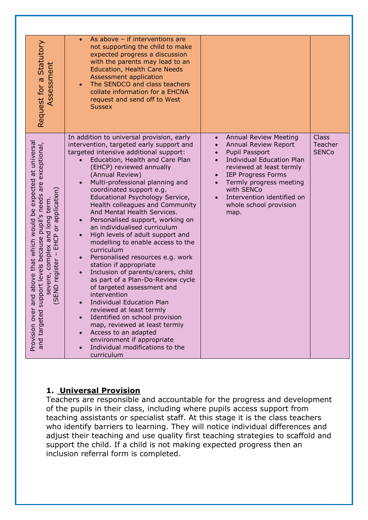| Request for a Statutory<br>Assessment                                                                                                                                                                                                                                                                                                                                         | As above - if interventions are<br>$\bullet$<br>not supporting the child to make<br>expected progress a discussion<br>with the parents may lead to an<br><b>Education, Health Care Needs</b><br>Assessment application<br>The SENDCO and class teachers<br>collate information for a EHCNA<br>request and send off to West<br><b>Sussex</b>                                                                                                                                                                                                                                                                                                                                                                                                                                                                                                                                                                                                                                                                                           |                                                                                                                                                                                                                                                                                           |                                         |
|-------------------------------------------------------------------------------------------------------------------------------------------------------------------------------------------------------------------------------------------------------------------------------------------------------------------------------------------------------------------------------|---------------------------------------------------------------------------------------------------------------------------------------------------------------------------------------------------------------------------------------------------------------------------------------------------------------------------------------------------------------------------------------------------------------------------------------------------------------------------------------------------------------------------------------------------------------------------------------------------------------------------------------------------------------------------------------------------------------------------------------------------------------------------------------------------------------------------------------------------------------------------------------------------------------------------------------------------------------------------------------------------------------------------------------|-------------------------------------------------------------------------------------------------------------------------------------------------------------------------------------------------------------------------------------------------------------------------------------------|-----------------------------------------|
| expected at universal<br>are exceptional,<br>1 long term.<br>or application)<br>needs<br>above that which would be<br>$\mathfrak{v}$<br>on pue<br>Sildnd بہ<br>Sildnd بہ<br>$\sigma$<br>EHCP<br>pport levels because<br>severe, complex an<br>ere, comple<br>register – l<br>END<br>p<br>$\overline{9}$<br><b>US</b><br>$\overline{\sigma}$<br>Provision over<br>and targeted | In addition to universal provision, early<br>intervention, targeted early support and<br>targeted intensive additional support:<br>Education, Health and Care Plan<br>(EHCP) reviewed annually<br>(Annual Review)<br>Multi-professional planning and<br>coordinated support e.g.<br>Educational Psychology Service,<br>Health colleagues and Community<br>And Mental Health Services.<br>Personalised support, working on<br>an individualised curriculum<br>High levels of adult support and<br>modelling to enable access to the<br>curriculum<br>Personalised resources e.g. work<br>$\bullet$<br>station if appropriate<br>Inclusion of parents/carers, child<br>$\bullet$<br>as part of a Plan-Do-Review cycle<br>of targeted assessment and<br>intervention<br><b>Individual Education Plan</b><br>reviewed at least termly<br>Identified on school provision<br>$\bullet$<br>map, reviewed at least termly<br>Access to an adapted<br>$\bullet$<br>environment if appropriate<br>Individual modifications to the<br>curriculum | <b>Annual Review Meeting</b><br>$\bullet$<br>Annual Review Report<br>Pupil Passport<br><b>Individual Education Plan</b><br>reviewed at least termly<br><b>IEP Progress Forms</b><br>Termly progress meeting<br>with SENCo<br>Intervention identified on<br>whole school provision<br>map. | <b>Class</b><br>Teacher<br><b>SENCo</b> |

# **1. Universal Provision**

Teachers are responsible and accountable for the progress and development of the pupils in their class, including where pupils access support from teaching assistants or specialist staff. At this stage it is the class teachers who identify barriers to learning. They will notice individual differences and adjust their teaching and use quality first teaching strategies to scaffold and support the child. If a child is not making expected progress then an inclusion referral form is completed.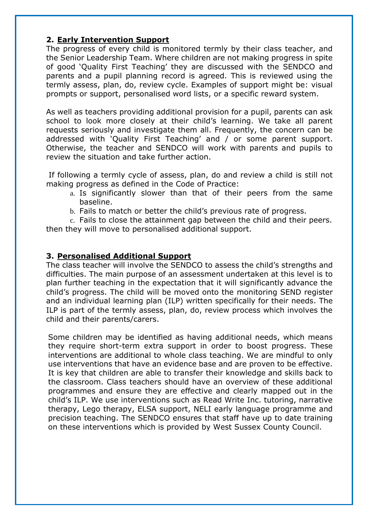### **2. Early Intervention Support**

The progress of every child is monitored termly by their class teacher, and the Senior Leadership Team. Where children are not making progress in spite of good 'Quality First Teaching' they are discussed with the SENDCO and parents and a pupil planning record is agreed. This is reviewed using the termly assess, plan, do, review cycle. Examples of support might be: visual prompts or support, personalised word lists, or a specific reward system.

As well as teachers providing additional provision for a pupil, parents can ask school to look more closely at their child's learning. We take all parent requests seriously and investigate them all. Frequently, the concern can be addressed with 'Quality First Teaching' and / or some parent support. Otherwise, the teacher and SENDCO will work with parents and pupils to review the situation and take further action.

If following a termly cycle of assess, plan, do and review a child is still not making progress as defined in the Code of Practice:

- a. Is significantly slower than that of their peers from the same baseline.
- b. Fails to match or better the child's previous rate of progress.

c. Fails to close the attainment gap between the child and their peers. then they will move to personalised additional support.

### **3. Personalised Additional Support**

The class teacher will involve the SENDCO to assess the child's strengths and difficulties. The main purpose of an assessment undertaken at this level is to plan further teaching in the expectation that it will significantly advance the child's progress. The child will be moved onto the monitoring SEND register and an individual learning plan (ILP) written specifically for their needs. The ILP is part of the termly assess, plan, do, review process which involves the child and their parents/carers.

Some children may be identified as having additional needs, which means they require short-term extra support in order to boost progress. These interventions are additional to whole class teaching. We are mindful to only use interventions that have an evidence base and are proven to be effective. It is key that children are able to transfer their knowledge and skills back to the classroom. Class teachers should have an overview of these additional programmes and ensure they are effective and clearly mapped out in the child's ILP. We use interventions such as Read Write Inc. tutoring, narrative therapy, Lego therapy, ELSA support, NELI early language programme and precision teaching. The SENDCO ensures that staff have up to date training on these interventions which is provided by West Sussex County Council.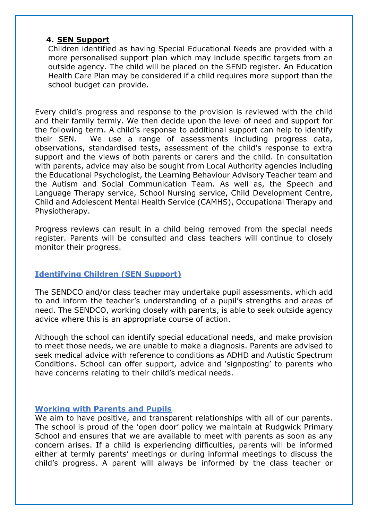#### **4. SEN Support**

Children identified as having Special Educational Needs are provided with a more personalised support plan which may include specific targets from an outside agency. The child will be placed on the SEND register. An Education Health Care Plan may be considered if a child requires more support than the school budget can provide.

Every child's progress and response to the provision is reviewed with the child and their family termly. We then decide upon the level of need and support for the following term. A child's response to additional support can help to identify their SEN. We use a range of assessments including progress data, observations, standardised tests, assessment of the child's response to extra support and the views of both parents or carers and the child. In consultation with parents, advice may also be sought from Local Authority agencies including the Educational Psychologist, the Learning Behaviour Advisory Teacher team and the Autism and Social Communication Team. As well as, the Speech and Language Therapy service, School Nursing service, Child Development Centre, Child and Adolescent Mental Health Service (CAMHS), Occupational Therapy and Physiotherapy.

Progress reviews can result in a child being removed from the special needs register. Parents will be consulted and class teachers will continue to closely monitor their progress.

### **Identifying Children (SEN Support)**

The SENDCO and/or class teacher may undertake pupil assessments, which add to and inform the teacher's understanding of a pupil's strengths and areas of need. The SENDCO, working closely with parents, is able to seek outside agency advice where this is an appropriate course of action.

Although the school can identify special educational needs, and make provision to meet those needs, we are unable to make a diagnosis. Parents are advised to seek medical advice with reference to conditions as ADHD and Autistic Spectrum Conditions. School can offer support, advice and 'signposting' to parents who have concerns relating to their child's medical needs.

### **Working with Parents and Pupils**

We aim to have positive, and transparent relationships with all of our parents. The school is proud of the 'open door' policy we maintain at Rudgwick Primary School and ensures that we are available to meet with parents as soon as any concern arises. If a child is experiencing difficulties, parents will be informed either at termly parents' meetings or during informal meetings to discuss the child's progress. A parent will always be informed by the class teacher or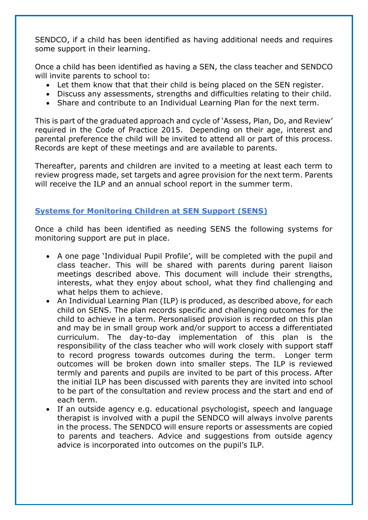SENDCO, if a child has been identified as having additional needs and requires some support in their learning.

Once a child has been identified as having a SEN, the class teacher and SENDCO will invite parents to school to:

- Let them know that that their child is being placed on the SEN register.
- Discuss any assessments, strengths and difficulties relating to their child.
- Share and contribute to an Individual Learning Plan for the next term.

This is part of the graduated approach and cycle of 'Assess, Plan, Do, and Review' required in the Code of Practice 2015. Depending on their age, interest and parental preference the child will be invited to attend all or part of this process. Records are kept of these meetings and are available to parents.

Thereafter, parents and children are invited to a meeting at least each term to review progress made, set targets and agree provision for the next term. Parents will receive the ILP and an annual school report in the summer term.

# **Systems for Monitoring Children at SEN Support (SENS)**

Once a child has been identified as needing SENS the following systems for monitoring support are put in place.

- A one page 'Individual Pupil Profile', will be completed with the pupil and class teacher. This will be shared with parents during parent liaison meetings described above. This document will include their strengths, interests, what they enjoy about school, what they find challenging and what helps them to achieve.
- An Individual Learning Plan (ILP) is produced, as described above, for each child on SENS. The plan records specific and challenging outcomes for the child to achieve in a term. Personalised provision is recorded on this plan and may be in small group work and/or support to access a differentiated curriculum. The day-to-day implementation of this plan is the responsibility of the class teacher who will work closely with support staff to record progress towards outcomes during the term. Longer term outcomes will be broken down into smaller steps. The ILP is reviewed termly and parents and pupils are invited to be part of this process. After the initial ILP has been discussed with parents they are invited into school to be part of the consultation and review process and the start and end of each term.
- If an outside agency e.g. educational psychologist, speech and language therapist is involved with a pupil the SENDCO will always involve parents in the process. The SENDCO will ensure reports or assessments are copied to parents and teachers. Advice and suggestions from outside agency advice is incorporated into outcomes on the pupil's ILP.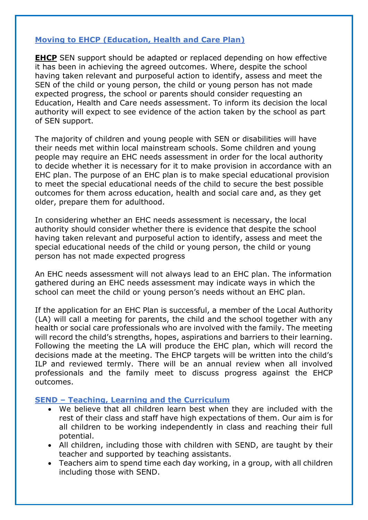## **Moving to EHCP (Education, Health and Care Plan)**

**EHCP** SEN support should be adapted or replaced depending on how effective it has been in achieving the agreed outcomes. Where, despite the school having taken relevant and purposeful action to identify, assess and meet the SEN of the child or young person, the child or young person has not made expected progress, the school or parents should consider requesting an Education, Health and Care needs assessment. To inform its decision the local authority will expect to see evidence of the action taken by the school as part of SEN support.

The majority of children and young people with SEN or disabilities will have their needs met within local mainstream schools. Some children and young people may require an EHC needs assessment in order for the local authority to decide whether it is necessary for it to make provision in accordance with an EHC plan. The purpose of an EHC plan is to make special educational provision to meet the special educational needs of the child to secure the best possible outcomes for them across education, health and social care and, as they get older, prepare them for adulthood.

In considering whether an EHC needs assessment is necessary, the local authority should consider whether there is evidence that despite the school having taken relevant and purposeful action to identify, assess and meet the special educational needs of the child or young person, the child or young person has not made expected progress

An EHC needs assessment will not always lead to an EHC plan. The information gathered during an EHC needs assessment may indicate ways in which the school can meet the child or young person's needs without an EHC plan.

If the application for an EHC Plan is successful, a member of the Local Authority (LA) will call a meeting for parents, the child and the school together with any health or social care professionals who are involved with the family. The meeting will record the child's strengths, hopes, aspirations and barriers to their learning. Following the meeting the LA will produce the EHC plan, which will record the decisions made at the meeting. The EHCP targets will be written into the child's ILP and reviewed termly. There will be an annual review when all involved professionals and the family meet to discuss progress against the EHCP outcomes.

### **SEND – Teaching, Learning and the Curriculum**

- We believe that all children learn best when they are included with the rest of their class and staff have high expectations of them. Our aim is for all children to be working independently in class and reaching their full potential.
- All children, including those with children with SEND, are taught by their teacher and supported by teaching assistants.
- Teachers aim to spend time each day working, in a group, with all children including those with SEND.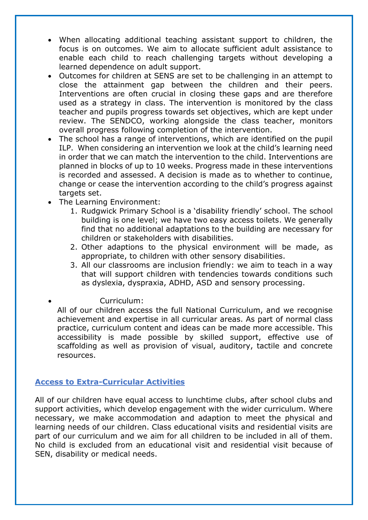- When allocating additional teaching assistant support to children, the focus is on outcomes. We aim to allocate sufficient adult assistance to enable each child to reach challenging targets without developing a learned dependence on adult support.
- Outcomes for children at SENS are set to be challenging in an attempt to close the attainment gap between the children and their peers. Interventions are often crucial in closing these gaps and are therefore used as a strategy in class. The intervention is monitored by the class teacher and pupils progress towards set objectives, which are kept under review. The SENDCO, working alongside the class teacher, monitors overall progress following completion of the intervention.
- The school has a range of interventions, which are identified on the pupil ILP. When considering an intervention we look at the child's learning need in order that we can match the intervention to the child. Interventions are planned in blocks of up to 10 weeks. Progress made in these interventions is recorded and assessed. A decision is made as to whether to continue, change or cease the intervention according to the child's progress against targets set.
- The Learning Environment:
	- 1. Rudgwick Primary School is a 'disability friendly' school. The school building is one level; we have two easy access toilets. We generally find that no additional adaptations to the building are necessary for children or stakeholders with disabilities.
	- 2. Other adaptions to the physical environment will be made, as appropriate, to children with other sensory disabilities.
	- 3. All our classrooms are inclusion friendly: we aim to teach in a way that will support children with tendencies towards conditions such as dyslexia, dyspraxia, ADHD, ASD and sensory processing.
- Curriculum:

All of our children access the full National Curriculum, and we recognise achievement and expertise in all curricular areas. As part of normal class practice, curriculum content and ideas can be made more accessible. This accessibility is made possible by skilled support, effective use of scaffolding as well as provision of visual, auditory, tactile and concrete resources.

# **Access to Extra-Curricular Activities**

All of our children have equal access to lunchtime clubs, after school clubs and support activities, which develop engagement with the wider curriculum. Where necessary, we make accommodation and adaption to meet the physical and learning needs of our children. Class educational visits and residential visits are part of our curriculum and we aim for all children to be included in all of them. No child is excluded from an educational visit and residential visit because of SEN, disability or medical needs.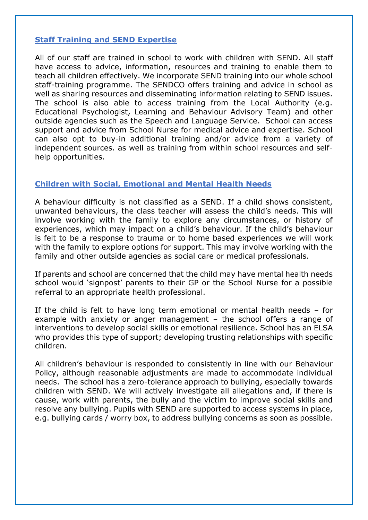### **Staff Training and SEND Expertise**

All of our staff are trained in school to work with children with SEND. All staff have access to advice, information, resources and training to enable them to teach all children effectively. We incorporate SEND training into our whole school staff-training programme. The SENDCO offers training and advice in school as well as sharing resources and disseminating information relating to SEND issues. The school is also able to access training from the Local Authority (e.g. Educational Psychologist, Learning and Behaviour Advisory Team) and other outside agencies such as the Speech and Language Service. School can access support and advice from School Nurse for medical advice and expertise. School can also opt to buy-in additional training and/or advice from a variety of independent sources. as well as training from within school resources and selfhelp opportunities.

## **Children with Social, Emotional and Mental Health Needs**

A behaviour difficulty is not classified as a SEND. If a child shows consistent, unwanted behaviours, the class teacher will assess the child's needs. This will involve working with the family to explore any circumstances, or history of experiences, which may impact on a child's behaviour. If the child's behaviour is felt to be a response to trauma or to home based experiences we will work with the family to explore options for support. This may involve working with the family and other outside agencies as social care or medical professionals.

If parents and school are concerned that the child may have mental health needs school would 'signpost' parents to their GP or the School Nurse for a possible referral to an appropriate health professional.

If the child is felt to have long term emotional or mental health needs – for example with anxiety or anger management – the school offers a range of interventions to develop social skills or emotional resilience. School has an ELSA who provides this type of support; developing trusting relationships with specific children.

All children's behaviour is responded to consistently in line with our Behaviour Policy, although reasonable adjustments are made to accommodate individual needs. The school has a zero-tolerance approach to bullying, especially towards children with SEND. We will actively investigate all allegations and, if there is cause, work with parents, the bully and the victim to improve social skills and resolve any bullying. Pupils with SEND are supported to access systems in place, e.g. bullying cards / worry box, to address bullying concerns as soon as possible.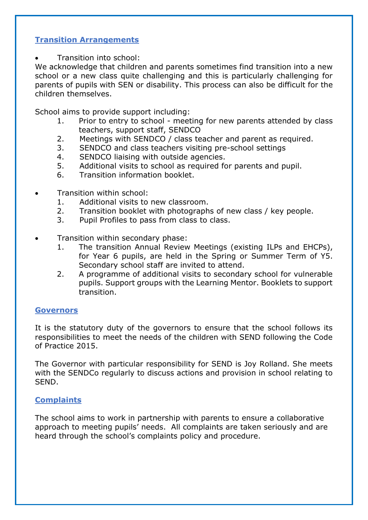# **Transition Arrangements**

Transition into school:

We acknowledge that children and parents sometimes find transition into a new school or a new class quite challenging and this is particularly challenging for parents of pupils with SEN or disability. This process can also be difficult for the children themselves.

School aims to provide support including:

- 1. Prior to entry to school meeting for new parents attended by class teachers, support staff, SENDCO
- 2. Meetings with SENDCO / class teacher and parent as required.
- 3. SENDCO and class teachers visiting pre-school settings
- 4. SENDCO liaising with outside agencies.
- 5. Additional visits to school as required for parents and pupil.
- 6. Transition information booklet.
- Transition within school:
	- 1. Additional visits to new classroom.
	- 2. Transition booklet with photographs of new class / key people.
	- 3. Pupil Profiles to pass from class to class.
- Transition within secondary phase:
	- 1. The transition Annual Review Meetings (existing ILPs and EHCPs), for Year 6 pupils, are held in the Spring or Summer Term of Y5. Secondary school staff are invited to attend.
	- 2. A programme of additional visits to secondary school for vulnerable pupils. Support groups with the Learning Mentor. Booklets to support transition.

#### **Governors**

It is the statutory duty of the governors to ensure that the school follows its responsibilities to meet the needs of the children with SEND following the Code of Practice 2015.

The Governor with particular responsibility for SEND is Joy Rolland. She meets with the SENDCo regularly to discuss actions and provision in school relating to SEND.

### **Complaints**

The school aims to work in partnership with parents to ensure a collaborative approach to meeting pupils' needs. All complaints are taken seriously and are heard through the school's complaints policy and procedure.